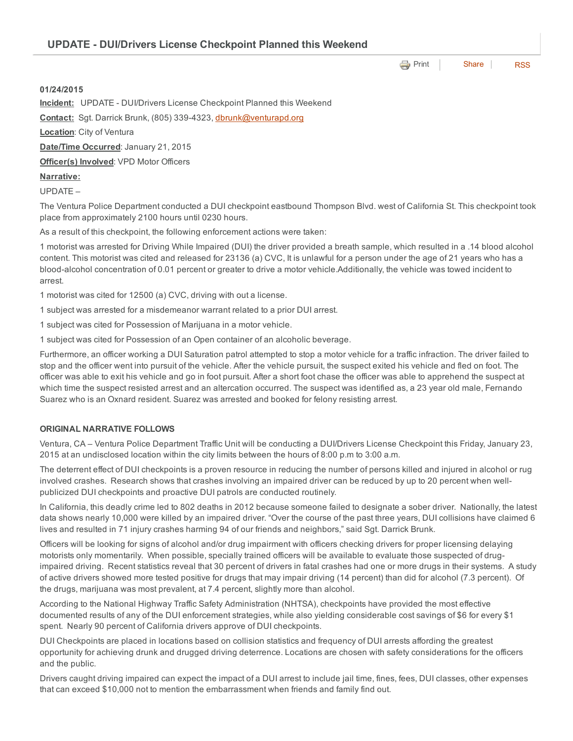**[Print](http://www.cityofventura.net/print/16458)** [Share](javascript:void(0)) [RSS](http://www.cityofventura.net/feed/press_release/rss.xml)

## 01/24/2015

Incident: UPDATE - DUI/Drivers License Checkpoint Planned this Weekend

Contact: Sgt. Darrick Brunk, (805) 339-4323, [dbrunk@venturapd.org](mailto:dbrunk@venturapd.org)

**Location:** City of Ventura

Date/Time Occurred: January 21, 2015

Officer(s) Involved: VPD Motor Officers

## Narrative:

UPDATE –

The Ventura Police Department conducted a DUI checkpoint eastbound Thompson Blvd. west of California St. This checkpoint took place from approximately 2100 hours until 0230 hours.

As a result of this checkpoint, the following enforcement actions were taken:

1 motorist was arrested for Driving While Impaired (DUI) the driver provided a breath sample, which resulted in a .14 blood alcohol content. This motorist was cited and released for 23136 (a) CVC, It is unlawful for a person under the age of 21 years who has a blood-alcohol concentration of 0.01 percent or greater to drive a motor vehicle.Additionally, the vehicle was towed incident to arrest.

1 motorist was cited for 12500 (a) CVC, driving with out a license.

1 subject was arrested for a misdemeanor warrant related to a prior DUI arrest.

1 subject was cited for Possession of Marijuana in a motor vehicle.

1 subject was cited for Possession of an Open container of an alcoholic beverage.

Furthermore, an officer working a DUI Saturation patrol attempted to stop a motor vehicle for a traffic infraction. The driver failed to stop and the officer went into pursuit of the vehicle. After the vehicle pursuit, the suspect exited his vehicle and fled on foot. The officer was able to exit his vehicle and go in foot pursuit. After a short foot chase the officer was able to apprehend the suspect at which time the suspect resisted arrest and an altercation occurred. The suspect was identified as, a 23 year old male, Fernando Suarez who is an Oxnard resident. Suarez was arrested and booked for felony resisting arrest.

## ORIGINAL NARRATIVE FOLLOWS

Ventura, CA – Ventura Police Department Traffic Unit will be conducting a DUI/Drivers License Checkpoint this Friday, January 23, 2015 at an undisclosed location within the city limits between the hours of 8:00 p.m to 3:00 a.m.

The deterrent effect of DUI checkpoints is a proven resource in reducing the number of persons killed and injured in alcohol or rug involved crashes. Research shows that crashes involving an impaired driver can be reduced by up to 20 percent when wellpublicized DUI checkpoints and proactive DUI patrols are conducted routinely.

In California, this deadly crime led to 802 deaths in 2012 because someone failed to designate a sober driver. Nationally, the latest data shows nearly 10,000 were killed by an impaired driver. "Over the course of the past three years, DUI collisions have claimed 6 lives and resulted in 71 injury crashes harming 94 of our friends and neighbors," said Sgt. Darrick Brunk.

Officers will be looking for signs of alcohol and/or drug impairment with officers checking drivers for proper licensing delaying motorists only momentarily. When possible, specially trained officers will be available to evaluate those suspected of drugimpaired driving. Recent statistics reveal that 30 percent of drivers in fatal crashes had one or more drugs in their systems. A study of active drivers showed more tested positive for drugs that may impair driving (14 percent) than did for alcohol (7.3 percent). Of the drugs, marijuana was most prevalent, at 7.4 percent, slightly more than alcohol.

According to the National Highway Traffic Safety Administration (NHTSA), checkpoints have provided the most effective documented results of any of the DUI enforcement strategies, while also yielding considerable cost savings of \$6 for every \$1 spent. Nearly 90 percent of California drivers approve of DUI checkpoints.

DUI Checkpoints are placed in locations based on collision statistics and frequency of DUI arrests affording the greatest opportunity for achieving drunk and drugged driving deterrence. Locations are chosen with safety considerations for the officers and the public.

Drivers caught driving impaired can expect the impact of a DUI arrest to include jail time, fines, fees, DUI classes, other expenses that can exceed \$10,000 not to mention the embarrassment when friends and family find out.